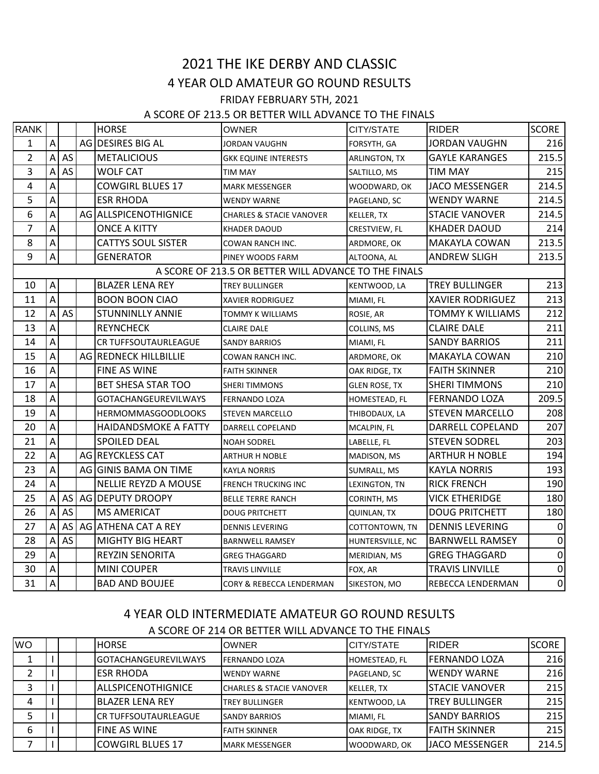# 2021 THE IKE DERBY AND CLASSIC 4 YEAR OLD AMATEUR GO ROUND RESULTS FRIDAY FEBRUARY 5TH, 2021

#### A SCORE OF 213.5 OR BETTER WILL ADVANCE TO THE FINALS

| RANK           |                                                       |    |  | <b>HORSE</b>                | OWNER                               | CITY/STATE         | <b>RIDER</b>            | <b>SCORE</b>   |
|----------------|-------------------------------------------------------|----|--|-----------------------------|-------------------------------------|--------------------|-------------------------|----------------|
| $\mathbf{1}$   | $\overline{A}$                                        |    |  | AG DESIRES BIG AL           | JORDAN VAUGHN                       | FORSYTH, GA        | <b>JORDAN VAUGHN</b>    | 216            |
| $\overline{2}$ | $\overline{A}$                                        | AS |  | <b>METALICIOUS</b>          | <b>GKK EQUINE INTERESTS</b>         | ARLINGTON, TX      | <b>GAYLE KARANGES</b>   | 215.5          |
| 3              | Α                                                     | AS |  | <b>WOLF CAT</b>             | <b>TIM MAY</b>                      | SALTILLO, MS       | TIM MAY                 | 215            |
| 4              | A                                                     |    |  | <b>COWGIRL BLUES 17</b>     | <b>MARK MESSENGER</b>               | WOODWARD, OK       | <b>JACO MESSENGER</b>   | 214.5          |
| 5              | A                                                     |    |  | <b>ESR RHODA</b>            | <b>WENDY WARNE</b>                  | PAGELAND, SC       | <b>WENDY WARNE</b>      | 214.5          |
| 6              | A                                                     |    |  | AG ALLSPICENOTHIGNICE       | <b>CHARLES &amp; STACIE VANOVER</b> | KELLER, TX         | <b>STACIE VANOVER</b>   | 214.5          |
| $\overline{7}$ | A                                                     |    |  | <b>ONCE A KITTY</b>         | <b>KHADER DAOUD</b>                 | CRESTVIEW, FL      | <b>KHADER DAOUD</b>     | 214            |
| 8              | A                                                     |    |  | <b>CATTYS SOUL SISTER</b>   | COWAN RANCH INC.                    | ARDMORE, OK        | MAKAYLA COWAN           | 213.5          |
| 9              | Α                                                     |    |  | <b>GENERATOR</b>            | PINEY WOODS FARM                    | ALTOONA, AL        | <b>ANDREW SLIGH</b>     | 213.5          |
|                | A SCORE OF 213.5 OR BETTER WILL ADVANCE TO THE FINALS |    |  |                             |                                     |                    |                         |                |
| 10             | $\boldsymbol{\mathsf{A}}$                             |    |  | <b>BLAZER LENA REY</b>      | <b>TREY BULLINGER</b>               | KENTWOOD, LA       | <b>TREY BULLINGER</b>   | 213            |
| 11             | A                                                     |    |  | <b>BOON BOON CIAO</b>       | <b>XAVIER RODRIGUEZ</b>             | MIAMI, FL          | <b>XAVIER RODRIGUEZ</b> | 213            |
| 12             | $\overline{A}$                                        | AS |  | <b>STUNNINLLY ANNIE</b>     | <b>TOMMY K WILLIAMS</b>             | ROSIE, AR          | TOMMY K WILLIAMS        | 212            |
| 13             | A                                                     |    |  | <b>REYNCHECK</b>            | <b>CLAIRE DALE</b>                  | COLLINS, MS        | <b>CLAIRE DALE</b>      | 211            |
| 14             | A                                                     |    |  | CR TUFFSOUTAURLEAGUE        | <b>SANDY BARRIOS</b>                | MIAMI, FL          | <b>SANDY BARRIOS</b>    | 211            |
| 15             | A                                                     |    |  | AG REDNECK HILLBILLIE       | COWAN RANCH INC.                    | ARDMORE, OK        | MAKAYLA COWAN           | 210            |
| 16             | A                                                     |    |  | FINE AS WINE                | <b>FAITH SKINNER</b>                | OAK RIDGE, TX      | <b>FAITH SKINNER</b>    | 210            |
| 17             | A                                                     |    |  | <b>BET SHESA STAR TOO</b>   | <b>SHERI TIMMONS</b>                | GLEN ROSE, TX      | SHERI TIMMONS           | 210            |
| 18             | A                                                     |    |  | <b>GOTACHANGEUREVILWAYS</b> | <b>FERNANDO LOZA</b>                | HOMESTEAD, FL      | <b>FERNANDO LOZA</b>    | 209.5          |
| 19             | $\overline{A}$                                        |    |  | <b>HERMOMMASGOODLOOKS</b>   | <b>STEVEN MARCELLO</b>              | THIBODAUX, LA      | <b>STEVEN MARCELLO</b>  | 208            |
| 20             | A                                                     |    |  | <b>HAIDANDSMOKE A FATTY</b> | DARRELL COPELAND                    | MCALPIN, FL        | DARRELL COPELAND        | 207            |
| 21             | A                                                     |    |  | <b>SPOILED DEAL</b>         | <b>NOAH SODREL</b>                  | LABELLE, FL        | <b>STEVEN SODREL</b>    | 203            |
| 22             | A                                                     |    |  | AG REYCKLESS CAT            | <b>ARTHUR H NOBLE</b>               | MADISON, MS        | <b>ARTHUR H NOBLE</b>   | 194            |
| 23             | A                                                     |    |  | AG GINIS BAMA ON TIME       | <b>KAYLA NORRIS</b>                 | SUMRALL, MS        | <b>KAYLA NORRIS</b>     | 193            |
| 24             | A                                                     |    |  | NELLIE REYZD A MOUSE        | <b>FRENCH TRUCKING INC</b>          | LEXINGTON, TN      | <b>RICK FRENCH</b>      | 190            |
| 25             | A                                                     | AS |  | AG DEPUTY DROOPY            | <b>BELLE TERRE RANCH</b>            | CORINTH, MS        | VICK ETHERIDGE          | 180            |
| 26             | A                                                     | AS |  | <b>MS AMERICAT</b>          | <b>DOUG PRITCHETT</b>               | <b>QUINLAN, TX</b> | <b>DOUG PRITCHETT</b>   | 180            |
| 27             | Α                                                     | AS |  | AG ATHENA CAT A REY         | <b>DENNIS LEVERING</b>              | COTTONTOWN, TN     | <b>DENNIS LEVERING</b>  | $\pmb{0}$      |
| 28             | А                                                     | AS |  | <b>MIGHTY BIG HEART</b>     | <b>BARNWELL RAMSEY</b>              | HUNTERSVILLE, NC   | <b>BARNWELL RAMSEY</b>  | 0              |
| 29             | A                                                     |    |  | <b>REYZIN SENORITA</b>      | <b>GREG THAGGARD</b>                | MERIDIAN, MS       | GREG THAGGARD           | $\pmb{0}$      |
| 30             | A                                                     |    |  | <b>MINI COUPER</b>          | <b>TRAVIS LINVILLE</b>              | FOX, AR            | <b>TRAVIS LINVILLE</b>  | $\pmb{0}$      |
| 31             | $\overline{\mathsf{A}}$                               |    |  | <b>BAD AND BOUJEE</b>       | CORY & REBECCA LENDERMAN            | SIKESTON, MO       | REBECCA LENDERMAN       | $\overline{0}$ |

# 4 YEAR OLD INTERMEDIATE AMATEUR GO ROUND RESULTS

A SCORE OF 214 OR BETTER WILL ADVANCE TO THE FINALS

| <b>WO</b> |  | <b>HORSE</b>                  | <b>OWNER</b>                        | <b>CITY/STATE</b> | <b>IRIDER</b>         | <b>SCORE</b> |
|-----------|--|-------------------------------|-------------------------------------|-------------------|-----------------------|--------------|
|           |  | <b>I</b> GOTACHANGEUREVILWAYS | <b>IFERNANDO LOZA</b>               | HOMESTEAD, FL     | <b>FERNANDO LOZA</b>  | 216          |
|           |  | <b>ESR RHODA</b>              | <b>WENDY WARNE</b>                  | PAGELAND, SC      | IWENDY WARNE          | 216          |
|           |  | <b>IALLSPICENOTHIGNICE</b>    | <b>CHARLES &amp; STACIE VANOVER</b> | <b>KELLER, TX</b> | ISTACIE VANOVER       | 215          |
| 4         |  | <b>IBLAZER LENA REY</b>       | <b>TREY BULLINGER</b>               | KENTWOOD, LA      | <b>TREY BULLINGER</b> | 215          |
|           |  | <b>ICR TUFFSOUTAURLEAGUE</b>  | <b>SANDY BARRIOS</b>                | MIAMI, FL         | <b>SANDY BARRIOS</b>  | 215          |
| 6         |  | <b>FINE AS WINE</b>           | <b>FAITH SKINNER</b>                | OAK RIDGE, TX     | <b>IFAITH SKINNER</b> | 215          |
|           |  | <b>COWGIRL BLUES 17</b>       | <b>MARK MESSENGER</b>               | WOODWARD, OK      | JACO MESSENGER        | 214.5        |